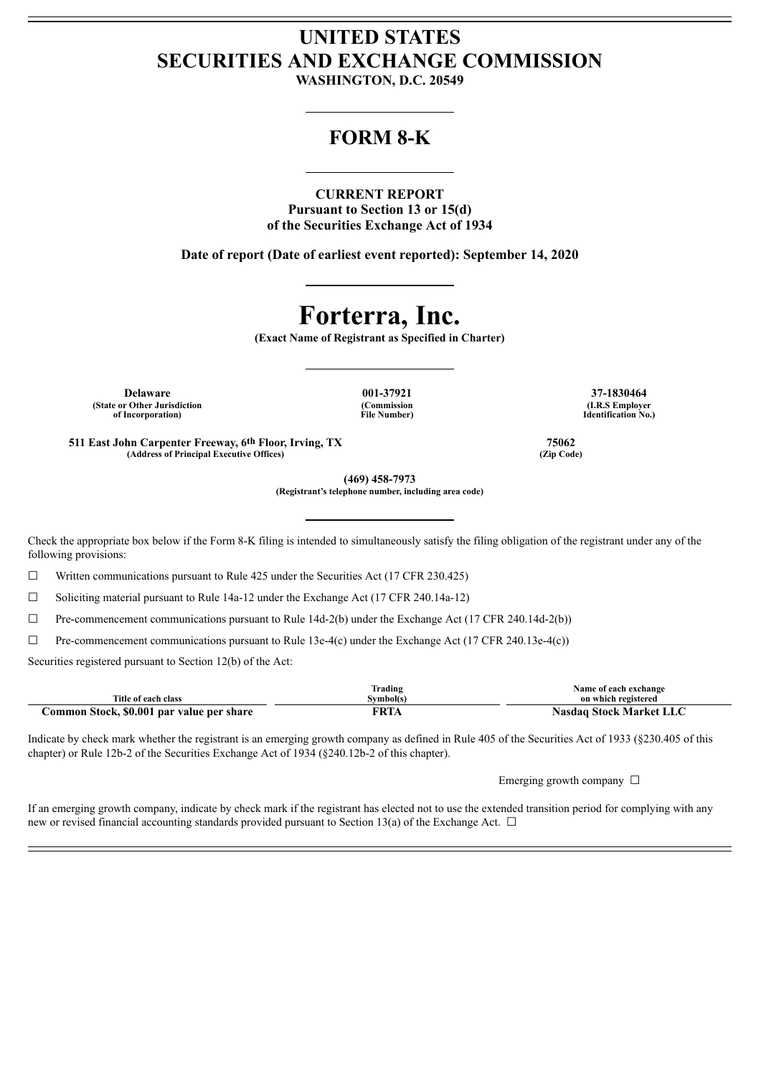# **UNITED STATES SECURITIES AND EXCHANGE COMMISSION**

**WASHINGTON, D.C. 20549**

# **FORM 8-K**

# **CURRENT REPORT**

**Pursuant to Section 13 or 15(d) of the Securities Exchange Act of 1934**

**Date of report (Date of earliest event reported): September 14, 2020**

# **Forterra, Inc.**

**(Exact Name of Registrant as Specified in Charter)**

**Delaware 001-37921 37-1830464 (State or Other Jurisdiction of Incorporation)**

**(Commission File Number)**

**(I.R.S Employer Identification No.)**

**511 East John Carpenter Freeway, 6th Floor, Irving, TX 75062 (Address of Principal Executive Offices) (Zip Code)**

**(469) 458-7973 (Registrant's telephone number, including area code)**

Check the appropriate box below if the Form 8-K filing is intended to simultaneously satisfy the filing obligation of the registrant under any of the following provisions:

 $\Box$  Written communications pursuant to Rule 425 under the Securities Act (17 CFR 230.425)

☐ Soliciting material pursuant to Rule 14a-12 under the Exchange Act (17 CFR 240.14a-12)

 $\Box$  Pre-commencement communications pursuant to Rule 14d-2(b) under the Exchange Act (17 CFR 240.14d-2(b))

 $\Box$  Pre-commencement communications pursuant to Rule 13e-4(c) under the Exchange Act (17 CFR 240.13e-4(c))

Securities registered pursuant to Section 12(b) of the Act:

|                                           | frading   | Name of each exchange          |
|-------------------------------------------|-----------|--------------------------------|
| Title of each class                       | Svmbol(s) | on which registered            |
| Common Stock, \$0.001 par value per share | FRTA      | <b>Nasdaq Stock Market LLC</b> |

Indicate by check mark whether the registrant is an emerging growth company as defined in Rule 405 of the Securities Act of 1933 (§230.405 of this chapter) or Rule 12b-2 of the Securities Exchange Act of 1934 (§240.12b-2 of this chapter).

Emerging growth company  $\Box$ 

If an emerging growth company, indicate by check mark if the registrant has elected not to use the extended transition period for complying with any new or revised financial accounting standards provided pursuant to Section 13(a) of the Exchange Act.  $\Box$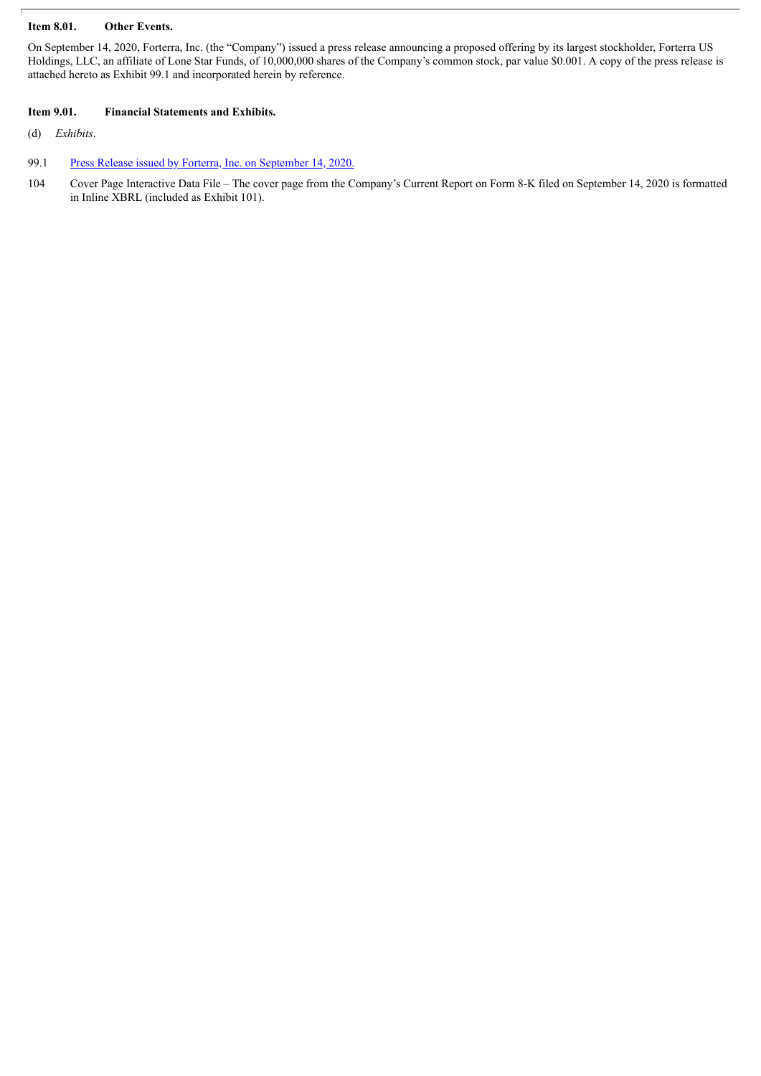# **Item 8.01. Other Events.**

On September 14, 2020, Forterra, Inc. (the "Company") issued a press release announcing a proposed offering by its largest stockholder, Forterra US Holdings, LLC, an affiliate of Lone Star Funds, of 10,000,000 shares of the Company's common stock, par value \$0.001. A copy of the press release is attached hereto as Exhibit 99.1 and incorporated herein by reference.

## **Item 9.01. Financial Statements and Exhibits.**

(d) *Exhibits*.

- 99.1 Press Release issued by Forterra, Inc. on [September](#page-3-0) 14, 2020.
- 104 Cover Page Interactive Data File The cover page from the Company's Current Report on Form 8-K filed on September 14, 2020 is formatted in Inline XBRL (included as Exhibit 101).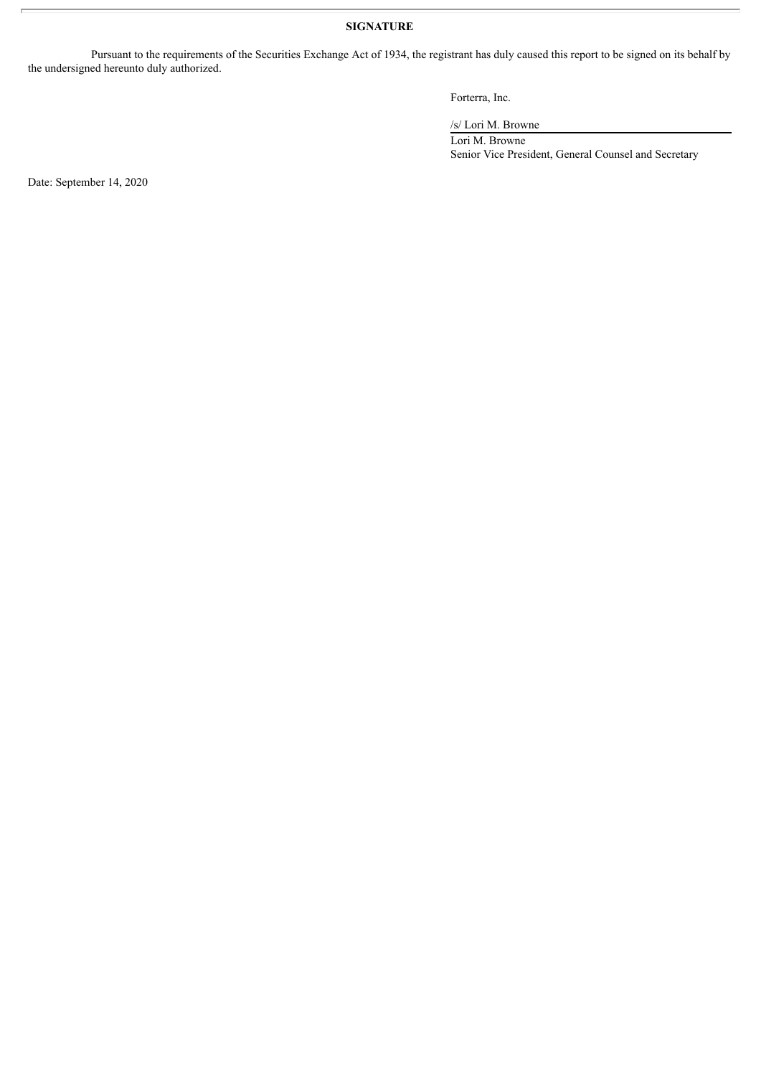# **SIGNATURE**

Pursuant to the requirements of the Securities Exchange Act of 1934, the registrant has duly caused this report to be signed on its behalf by the undersigned hereunto duly authorized.

Forterra, Inc.

/s/ Lori M. Browne

Lori M. Browne Senior Vice President, General Counsel and Secretary

Date: September 14, 2020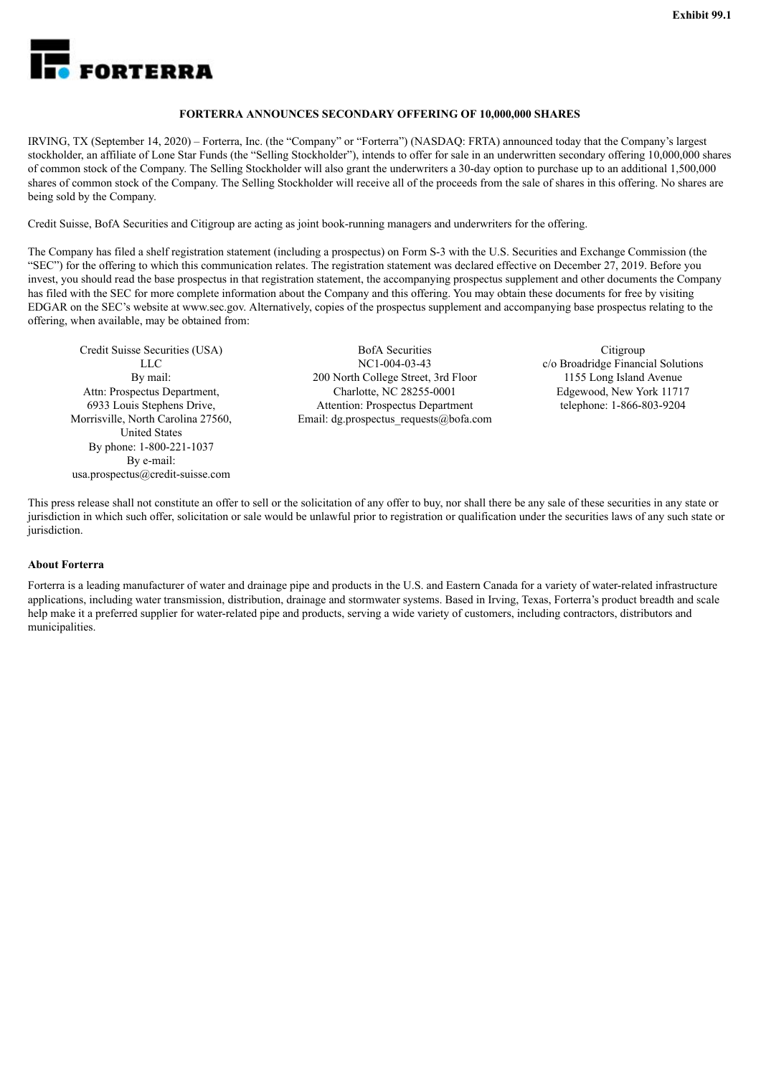<span id="page-3-0"></span>

### **FORTERRA ANNOUNCES SECONDARY OFFERING OF 10,000,000 SHARES**

IRVING, TX (September 14, 2020) – Forterra, Inc. (the "Company" or "Forterra") (NASDAQ: FRTA) announced today that the Company's largest stockholder, an affiliate of Lone Star Funds (the "Selling Stockholder"), intends to offer for sale in an underwritten secondary offering 10,000,000 shares of common stock of the Company. The Selling Stockholder will also grant the underwriters a 30-day option to purchase up to an additional 1,500,000 shares of common stock of the Company. The Selling Stockholder will receive all of the proceeds from the sale of shares in this offering. No shares are being sold by the Company.

Credit Suisse, BofA Securities and Citigroup are acting as joint book-running managers and underwriters for the offering.

The Company has filed a shelf registration statement (including a prospectus) on Form S-3 with the U.S. Securities and Exchange Commission (the "SEC") for the offering to which this communication relates. The registration statement was declared effective on December 27, 2019. Before you invest, you should read the base prospectus in that registration statement, the accompanying prospectus supplement and other documents the Company has filed with the SEC for more complete information about the Company and this offering. You may obtain these documents for free by visiting EDGAR on the SEC's website at www.sec.gov. Alternatively, copies of the prospectus supplement and accompanying base prospectus relating to the offering, when available, may be obtained from:

Credit Suisse Securities (USA) LLC By mail: Attn: Prospectus Department, 6933 Louis Stephens Drive, Morrisville, North Carolina 27560, United States By phone: 1-800-221-1037 By e-mail: usa.prospectus@credit-suisse.com

BofA Securities NC1-004-03-43 200 North College Street, 3rd Floor Charlotte, NC 28255-0001 Attention: Prospectus Department Email: dg.prospectus\_requests@bofa.com

Citigroup c/o Broadridge Financial Solutions 1155 Long Island Avenue Edgewood, New York 11717 telephone: 1-866-803-9204

This press release shall not constitute an offer to sell or the solicitation of any offer to buy, nor shall there be any sale of these securities in any state or jurisdiction in which such offer, solicitation or sale would be unlawful prior to registration or qualification under the securities laws of any such state or jurisdiction.

### **About Forterra**

Forterra is a leading manufacturer of water and drainage pipe and products in the U.S. and Eastern Canada for a variety of water-related infrastructure applications, including water transmission, distribution, drainage and stormwater systems. Based in Irving, Texas, Forterra's product breadth and scale help make it a preferred supplier for water-related pipe and products, serving a wide variety of customers, including contractors, distributors and municipalities.